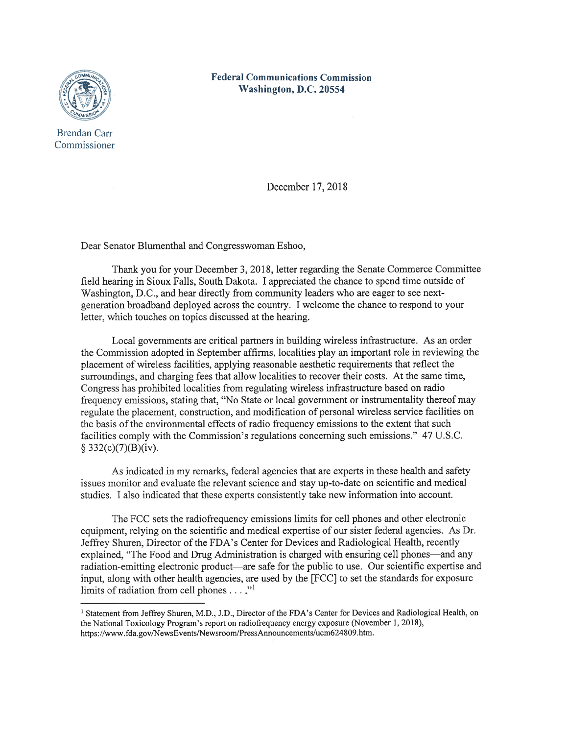

Federal Communications Commission Washington, D.C. 20554

Brendan Carr Commissioner

December 17, 2018

Dear Senator Blumenthal and Congresswoman Eshoo,

Thank you for your December 3, 2018, letter regarding the Senate Commerce Committee field hearing in Sioux Falls, South Dakota. I appreciated the chance to spend time outside of Washington, D.C., and hear directly from community leaders who are eager to see nextgeneration broadband deployed across the country. I welcome the chance to respond to your letter, which touches on topics discussed at the hearing.

Local governments are critical partners in building wireless infrastructure. As an order the Commission adopted in September affirms, localities play an important role in reviewing the placement of wireless facilities, applying reasonable aesthetic requirements that reflect the surroundings, and charging fees that allow localities to recover their costs. At the same time, Congress has prohibited localities from regulating wireless infrastructure based on radio frequency emissions, stating that, "No State or local government or instrumentality thereof may regulate the placement, construction, and modification of personal wireless service facilities on the basis of the environmental effects of radio frequency emissions to the extent that such facilities comply with the Commission's regulations concerning such emissions." 47 U.S.C.  $§ 332(c)(7)(B)(iv).$ 

As indicated in my remarks, federal agencies that are experts in these health and safety issues monitor and evaluate the relevant science and stay up-to-date on scientific and medical studies. I also indicated that these experts consistently take new information into account.

The FCC sets the radiofrequency emissions limits for cell phones and other electronic equipment, relying on the scientific and medical expertise of our sister federal agencies. As Dr. Jeffrey Shuren, Director of the FDA's Center for Devices and Radiological Health, recently explained, "The Food and Drug Administration is charged with ensuring cell phones—and any radiation-emitting electronic product—are safe for the public to use. Our scientific expertise and input, along with other health agencies, are used by the [FCC] to set the standards for exposure limits of radiation from cell phones  $\dots$ ."

<sup>&</sup>lt;sup>1</sup> Statement from Jeffrey Shuren, M.D., J.D., Director of the FDA's Center for Devices and Radiological Health, on the National Toxicology Program's report on radiofrequency energy exposure (November 1, 2018), https://www.fda.gov/NewsEvents/Newsroom/PressAnnouncements/ucm624809.htm.